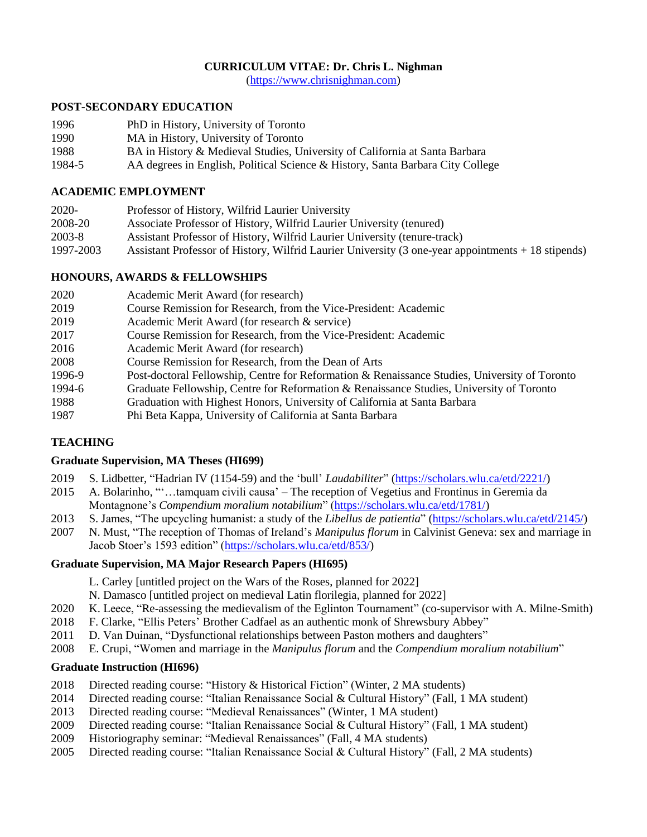# **CURRICULUM VITAE: Dr. Chris L. Nighman**

[\(https://www.chrisnighman.com\)](https://www.chrisnighman.com/)

## **POST-SECONDARY EDUCATION**

- 1996 PhD in History, University of Toronto
- 1990 MA in History, University of Toronto
- 1988 BA in History & Medieval Studies, University of California at Santa Barbara
- 1984-5 AA degrees in English, Political Science & History, Santa Barbara City College

# **ACADEMIC EMPLOYMENT**

| 2020-     | Professor of History, Wilfrid Laurier University                                                   |
|-----------|----------------------------------------------------------------------------------------------------|
| 2008-20   | Associate Professor of History, Wilfrid Laurier University (tenured)                               |
| 2003-8    | Assistant Professor of History, Wilfrid Laurier University (tenure-track)                          |
| 1997-2003 | Assistant Professor of History, Wilfrid Laurier University (3 one-year appointments + 18 stipends) |
|           |                                                                                                    |

# **HONOURS, AWARDS & FELLOWSHIPS**

| 2020   | Academic Merit Award (for research)                                                           |
|--------|-----------------------------------------------------------------------------------------------|
| 2019   | Course Remission for Research, from the Vice-President: Academic                              |
| 2019   | Academic Merit Award (for research & service)                                                 |
| 2017   | Course Remission for Research, from the Vice-President: Academic                              |
| 2016   | Academic Merit Award (for research)                                                           |
| 2008   | Course Remission for Research, from the Dean of Arts                                          |
| 1996-9 | Post-doctoral Fellowship, Centre for Reformation & Renaissance Studies, University of Toronto |
| 1994-6 | Graduate Fellowship, Centre for Reformation & Renaissance Studies, University of Toronto      |
| 1988   | Graduation with Highest Honors, University of California at Santa Barbara                     |
| 1987   | Phi Beta Kappa, University of California at Santa Barbara                                     |
|        |                                                                                               |

# **TEACHING**

## **Graduate Supervision, MA Theses (HI699)**

- 2019 S. Lidbetter, "Hadrian IV (1154-59) and the 'bull' *Laudabiliter*" [\(https://scholars.wlu.ca/etd/2221/\)](https://scholars.wlu.ca/etd/2221/)
- 2015 A. Bolarinho, "'…tamquam civili causa' The reception of Vegetius and Frontinus in Geremia da Montagnone's *Compendium moralium notabilium*" [\(https://scholars.wlu.ca/etd/1781/\)](https://scholars.wlu.ca/etd/1781/)
- 2013 S. James, "The upcycling humanist: a study of the *Libellus de patientia*" [\(https://scholars.wlu.ca/etd/2145/\)](https://scholars.wlu.ca/etd/2145/)
- 2007 N. Must, "The reception of Thomas of Ireland's *Manipulus florum* in Calvinist Geneva: sex and marriage in Jacob Stoer's 1593 edition" [\(https://scholars.wlu.ca/etd/853/\)](https://scholars.wlu.ca/etd/853/)

## **Graduate Supervision, MA Major Research Papers (HI695)**

- L. Carley [untitled project on the Wars of the Roses, planned for 2022]
- N. Damasco [untitled project on medieval Latin florilegia, planned for 2022]
- 2020 K. Leece, "Re-assessing the medievalism of the Eglinton Tournament" (co-supervisor with A. Milne-Smith)
- 2018 F. Clarke, "Ellis Peters' Brother Cadfael as an authentic monk of Shrewsbury Abbey"
- 2011 D. Van Duinan, "Dysfunctional relationships between Paston mothers and daughters"
- 2008 E. Crupi, "Women and marriage in the *Manipulus florum* and the *Compendium moralium notabilium*"

## **Graduate Instruction (HI696)**

- 2018 Directed reading course: "History & Historical Fiction" (Winter, 2 MA students)
- 2014 Directed reading course: "Italian Renaissance Social & Cultural History" (Fall, 1 MA student)
- 2013 Directed reading course: "Medieval Renaissances" (Winter, 1 MA student)
- 2009 Directed reading course: "Italian Renaissance Social & Cultural History" (Fall, 1 MA student)
- 2009 Historiography seminar: "Medieval Renaissances" (Fall, 4 MA students)
- 2005 Directed reading course: "Italian Renaissance Social & Cultural History" (Fall, 2 MA students)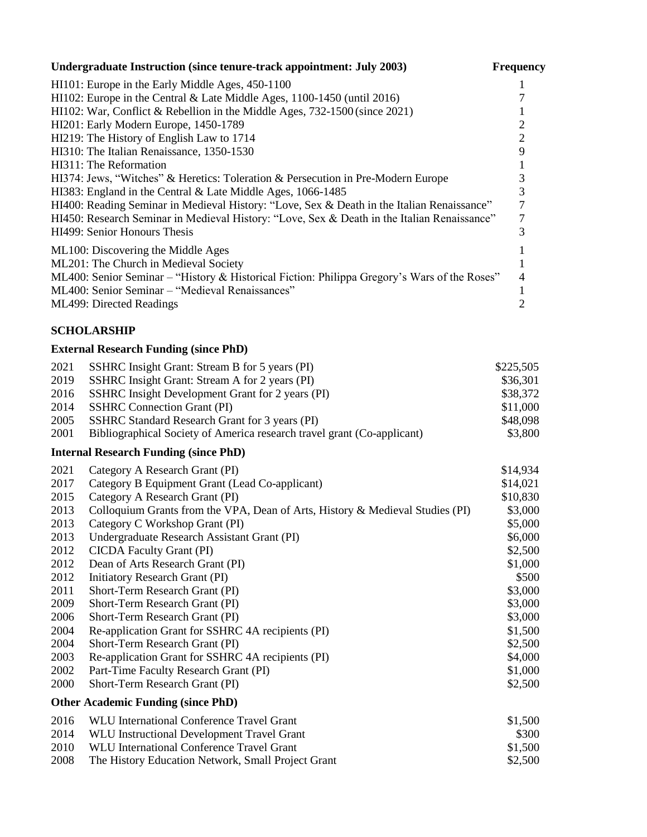| Undergraduate Instruction (since tenure-track appointment: July 2003)                        | <b>Frequency</b> |
|----------------------------------------------------------------------------------------------|------------------|
| HI101: Europe in the Early Middle Ages, 450-1100                                             |                  |
| HI102: Europe in the Central & Late Middle Ages, 1100-1450 (until 2016)                      |                  |
| HI102: War, Conflict & Rebellion in the Middle Ages, 732-1500 (since 2021)                   |                  |
| HI201: Early Modern Europe, 1450-1789                                                        |                  |
| HI219: The History of English Law to 1714                                                    |                  |
| HI310: The Italian Renaissance, 1350-1530                                                    |                  |
| HI311: The Reformation                                                                       |                  |
| HI374: Jews, "Witches" & Heretics: Toleration & Persecution in Pre-Modern Europe             |                  |
| HI383: England in the Central & Late Middle Ages, 1066-1485                                  |                  |
| HI400: Reading Seminar in Medieval History: "Love, Sex & Death in the Italian Renaissance"   |                  |
| HI450: Research Seminar in Medieval History: "Love, Sex & Death in the Italian Renaissance"  |                  |
| HI499: Senior Honours Thesis                                                                 |                  |
| ML100: Discovering the Middle Ages                                                           |                  |
| ML201: The Church in Medieval Society                                                        |                  |
| ML400: Senior Seminar – "History & Historical Fiction: Philippa Gregory's Wars of the Roses" |                  |
| ML400: Senior Seminar – "Medieval Renaissances"                                              |                  |
| <b>ML499: Directed Readings</b>                                                              |                  |

# **SCHOLARSHIP**

# **External Research Funding (since PhD)**

| 2021 | SSHRC Insight Grant: Stream B for 5 years (PI)                          | \$225,505 |
|------|-------------------------------------------------------------------------|-----------|
| 2019 | SSHRC Insight Grant: Stream A for 2 years (PI)                          | \$36,301  |
|      | 2016 SSHRC Insight Development Grant for 2 years (PI)                   | \$38,372  |
|      | 2014 SSHRC Connection Grant (PI)                                        | \$11,000  |
|      | 2005 SSHRC Standard Research Grant for 3 years (PI)                     | \$48,098  |
| 2001 | Bibliographical Society of America research travel grant (Co-applicant) | \$3,800   |

# **Internal Research Funding (since PhD)**

| 2021 | Category A Research Grant (PI)                                                | \$14,934 |
|------|-------------------------------------------------------------------------------|----------|
| 2017 | Category B Equipment Grant (Lead Co-applicant)                                | \$14,021 |
| 2015 | Category A Research Grant (PI)                                                | \$10,830 |
| 2013 | Colloquium Grants from the VPA, Dean of Arts, History & Medieval Studies (PI) | \$3,000  |
| 2013 | Category C Workshop Grant (PI)                                                | \$5,000  |
| 2013 | Undergraduate Research Assistant Grant (PI)                                   | \$6,000  |
| 2012 | <b>CICDA</b> Faculty Grant (PI)                                               | \$2,500  |
| 2012 | Dean of Arts Research Grant (PI)                                              | \$1,000  |
| 2012 | Initiatory Research Grant (PI)                                                | \$500    |
| 2011 | Short-Term Research Grant (PI)                                                | \$3,000  |
| 2009 | Short-Term Research Grant (PI)                                                | \$3,000  |
| 2006 | Short-Term Research Grant (PI)                                                | \$3,000  |
| 2004 | Re-application Grant for SSHRC 4A recipients (PI)                             | \$1,500  |
| 2004 | Short-Term Research Grant (PI)                                                | \$2,500  |
| 2003 | Re-application Grant for SSHRC 4A recipients (PI)                             | \$4,000  |
| 2002 | Part-Time Faculty Research Grant (PI)                                         | \$1,000  |
| 2000 | Short-Term Research Grant (PI)                                                | \$2,500  |
|      | <b>Other Academic Funding (since PhD)</b>                                     |          |
| 2016 | WLU International Conference Travel Grant                                     | \$1,500  |
| 2014 | WLU Instructional Development Travel Grant                                    | \$300    |
| 2010 | <b>WLU International Conference Travel Grant</b>                              | \$1,500  |
| 2008 | The History Education Network, Small Project Grant                            | \$2,500  |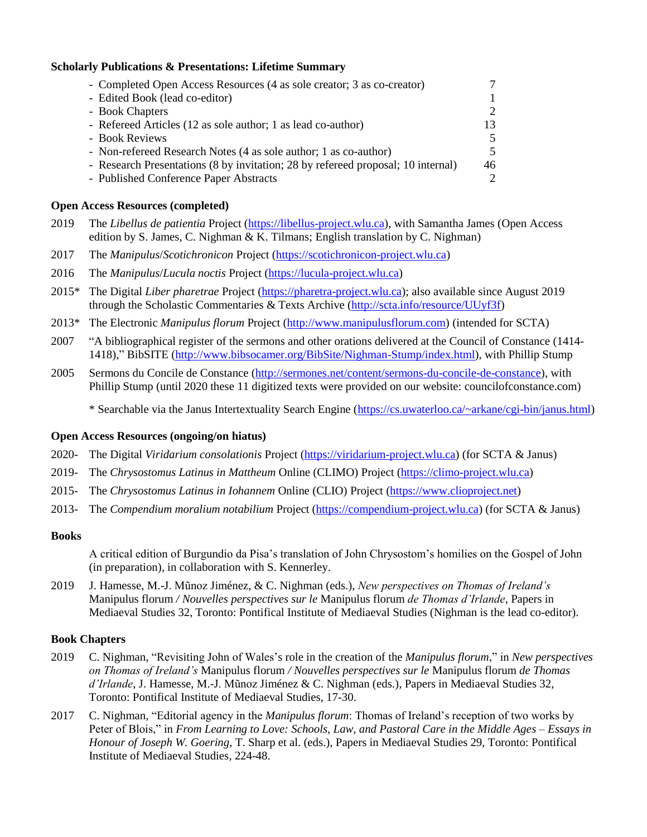## **Scholarly Publications & Presentations: Lifetime Summary**

| - Completed Open Access Resources (4 as sole creator; 3 as co-creator)           |                             |
|----------------------------------------------------------------------------------|-----------------------------|
| - Edited Book (lead co-editor)                                                   | $\mathbf{1}$                |
| - Book Chapters                                                                  | 2                           |
| - Refereed Articles (12 as sole author; 1 as lead co-author)                     | 13                          |
| - Book Reviews                                                                   | $\overline{\mathcal{L}}$    |
| - Non-refereed Research Notes (4 as sole author; 1 as co-author)                 | 5                           |
| - Research Presentations (8 by invitation; 28 by refereed proposal; 10 internal) | 46                          |
| - Published Conference Paper Abstracts                                           | $\mathcal{D}_{\mathcal{L}}$ |

### **Open Access Resources (completed)**

- 2019 The *Libellus de patientia* Project [\(https://libellus-project.wlu.ca\)](https://libellus-project.wlu.ca/), with Samantha James (Open Access edition by S. James, C. Nighman & K. Tilmans; English translation by C. Nighman)
- 2017 The *Manipulus*/*Scotichronicon* Project [\(https://scotichronicon-project.wlu.ca\)](https://scotichronicon-project.wlu.ca/)
- 2016 The *Manipulus*/*Lucula noctis* Project [\(https://lucula-project.wlu.ca\)](https://lucula-project.wlu.ca/)
- 2015\* The Digital *Liber pharetrae* Project [\(https://pharetra-project.wlu.ca\)](https://pharetra-project.wlu.ca/); also available since August 2019 through the Scholastic Commentaries & Texts Archive [\(http://scta.info/resource/UUyf3f\)](http://scta.info/resource/UUyf3f)
- 2013\* The Electronic *Manipulus florum* Project [\(http://www.manipulusflorum.com\)](http://www.manipulusflorum.com/) (intended for SCTA)
- 2007 "A bibliographical register of the sermons and other orations delivered at the Council of Constance (1414- 1418)," BibSITE [\(http://www.bibsocamer.org/BibSite/Nighman-Stump/index.html\)](http://www.bibsocamer.org/BibSite/Nighman-Stump/index.html), with Phillip Stump
- 2005 Sermons du Concile de Constance [\(http://sermones.net/content/sermons-du-concile-de-constance\)](http://sermones.net/content/sermons-du-concile-de-constance), with Phillip Stump (until 2020 these 11 digitized texts were provided on our website: councilofconstance.com)

\* Searchable via the Janus Intertextuality Search Engine [\(https://cs.uwaterloo.ca/~arkane/cgi-bin/janus.html\)](https://cs.uwaterloo.ca/~arkane/cgi-bin/janus.html)

## **Open Access Resources (ongoing/on hiatus)**

- 2020- The Digital *Viridarium consolationis* Project [\(https://viridarium-project.wlu.ca\)](https://viridarium-project.wlu.ca/) (for SCTA & Janus)
- 2019- The *Chrysostomus Latinus in Mattheum* Online (CLIMO) Project [\(https://climo-project.wlu.ca\)](https://climo-project.wlu.ca/)
- 2015- The *Chrysostomus Latinus in Iohannem* Online (CLIO) Project [\(https://www.clioproject.net\)](https://www.clioproject.net/)
- 2013- The *Compendium moralium notabilium* Project [\(https://compendium-project.wlu.ca\)](https://compendium-project.wlu.ca/) (for SCTA & Janus)

#### **Books**

A critical edition of Burgundio da Pisa's translation of John Chrysostom's homilies on the Gospel of John (in preparation), in collaboration with S. Kennerley.

2019 J. Hamesse, M.-J. Mũnoz Jiménez, & C. Nighman (eds.), *New perspectives on Thomas of Ireland's*  Manipulus florum */ Nouvelles perspectives sur le* Manipulus florum *de Thomas d'Irlande*, Papers in Mediaeval Studies 32, Toronto: Pontifical Institute of Mediaeval Studies (Nighman is the lead co-editor).

## **Book Chapters**

- 2019 C. Nighman, "Revisiting John of Wales's role in the creation of the *Manipulus florum*," in *New perspectives on Thomas of Ireland's* Manipulus florum */ Nouvelles perspectives sur le* Manipulus florum *de Thomas d'Irlande*, J. Hamesse, M.-J. Mũnoz Jiménez & C. Nighman (eds.), Papers in Mediaeval Studies 32, Toronto: Pontifical Institute of Mediaeval Studies, 17-30.
- 2017 C. Nighman, "Editorial agency in the *Manipulus florum*: Thomas of Ireland's reception of two works by Peter of Blois," in *From Learning to Love: Schools, Law, and Pastoral Care in the Middle Ages – Essays in Honour of Joseph W. Goering*, T. Sharp et al. (eds.), Papers in Mediaeval Studies 29, Toronto: Pontifical Institute of Mediaeval Studies, 224-48.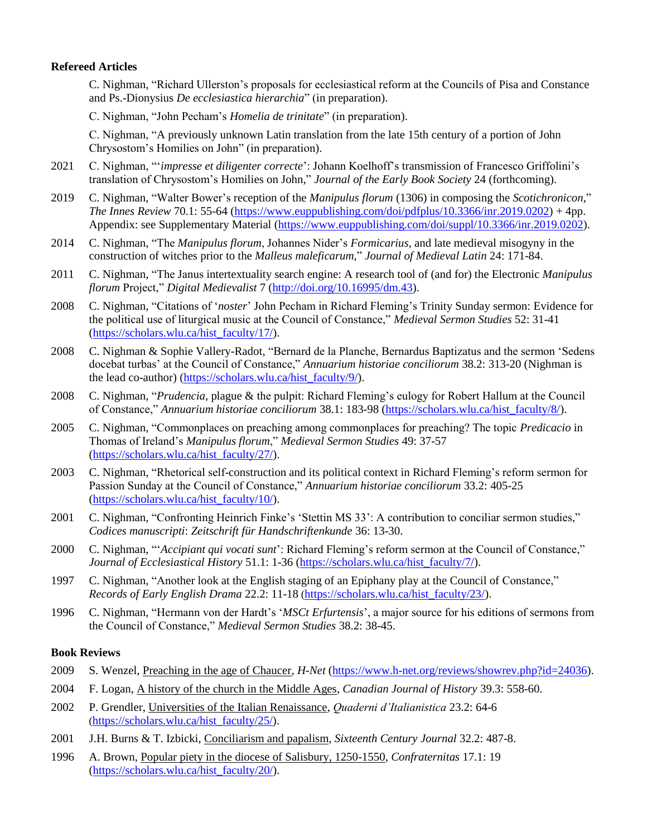## **Refereed Articles**

C. Nighman, "Richard Ullerston's proposals for ecclesiastical reform at the Councils of Pisa and Constance and Ps.-Dionysius *De ecclesiastica hierarchia*" (in preparation).

C. Nighman, "John Pecham's *Homelia de trinitate*" (in preparation).

C. Nighman, "A previously unknown Latin translation from the late 15th century of a portion of John Chrysostom's Homilies on John" (in preparation).

- 2021 C. Nighman, "'*impresse et diligenter correcte*': Johann Koelhoff's transmission of Francesco Griffolini's translation of Chrysostom's Homilies on John," *Journal of the Early Book Society* 24 (forthcoming).
- 2019 C. Nighman, "Walter Bower's reception of the *Manipulus florum* (1306) in composing the *Scotichronicon*," *The Innes Review* 70.1: 55-64 [\(https://www.euppublishing.com/doi/pdfplus/10.3366/inr.2019.0202\)](https://www.euppublishing.com/doi/pdfplus/10.3366/inr.2019.0202) + 4pp. Appendix: see Supplementary Material [\(https://www.euppublishing.com/doi/suppl/10.3366/inr.2019.0202\)](https://www.euppublishing.com/doi/suppl/10.3366/inr.2019.0202).
- 2014 C. Nighman, "The *Manipulus florum*, Johannes Nider's *Formicarius*, and late medieval misogyny in the construction of witches prior to the *Malleus maleficarum*," *Journal of Medieval Latin* 24: 171-84.
- 2011 C. Nighman, "The Janus intertextuality search engine: A research tool of (and for) the Electronic *Manipulus florum* Project," *Digital Medievalist* 7 [\(http://doi.org/10.16995/dm.43\)](http://doi.org/10.16995/dm.43).
- 2008 C. Nighman, "Citations of '*noster*' John Pecham in Richard Fleming's Trinity Sunday sermon: Evidence for the political use of liturgical music at the Council of Constance," *Medieval Sermon Studies* 52: 31-41 [\(https://scholars.wlu.ca/hist\\_faculty/17/\)](https://scholars.wlu.ca/hist_faculty/17/).
- 2008 C. Nighman & Sophie Vallery-Radot, "Bernard de la Planche, Bernardus Baptizatus and the sermon 'Sedens docebat turbas' at the Council of Constance," *Annuarium historiae conciliorum* 38.2: 313-20 (Nighman is the lead co-author) [\(https://scholars.wlu.ca/hist\\_faculty/9/\)](https://scholars.wlu.ca/hist_faculty/9/).
- 2008 C. Nighman, "*Prudencia*, plague & the pulpit: Richard Fleming's eulogy for Robert Hallum at the Council of Constance," *Annuarium historiae conciliorum* 38.1: 183-98 [\(https://scholars.wlu.ca/hist\\_faculty/8/\)](https://scholars.wlu.ca/hist_faculty/8/).
- 2005 C. Nighman, "Commonplaces on preaching among commonplaces for preaching? The topic *Predicacio* in Thomas of Ireland's *Manipulus florum*," *Medieval Sermon Studies* 49: 37-57 [\(https://scholars.wlu.ca/hist\\_faculty/27/\)](https://scholars.wlu.ca/hist_faculty/27/).
- 2003 C. Nighman, "Rhetorical self-construction and its political context in Richard Fleming's reform sermon for Passion Sunday at the Council of Constance," *Annuarium historiae conciliorum* 33.2: 405-25 [\(https://scholars.wlu.ca/hist\\_faculty/10/\)](https://scholars.wlu.ca/hist_faculty/10/).
- 2001 C. Nighman, "Confronting Heinrich Finke's 'Stettin MS 33': A contribution to conciliar sermon studies," *Codices manuscripti*: *Zeitschrift für Handschriftenkunde* 36: 13-30.
- 2000 C. Nighman, "'*Accipiant qui vocati sunt*': Richard Fleming's reform sermon at the Council of Constance," *Journal of Ecclesiastical History* 51.1: 1-36 [\(https://scholars.wlu.ca/hist\\_faculty/7/\)](https://scholars.wlu.ca/hist_faculty/7/).
- 1997 C. Nighman, "Another look at the English staging of an Epiphany play at the Council of Constance," *Records of Early English Drama* 22.2: 11-18 ([https://scholars.wlu.ca/hist\\_faculty/23/\)](https://scholars.wlu.ca/hist_faculty/23/).
- 1996 C. Nighman, "Hermann von der Hardt's '*MSCt Erfurtensis*', a major source for his editions of sermons from the Council of Constance," *Medieval Sermon Studies* 38.2: 38-45.

#### **Book Reviews**

- 2009 S. Wenzel, Preaching in the age of Chaucer, *H-Net* [\(https://www.h-net.org/reviews/showrev.php?id=24036\)](https://www.h-net.org/reviews/showrev.php?id=24036).
- 2004 F. Logan, A history of the church in the Middle Ages, *Canadian Journal of History* 39.3: 558-60.
- 2002 P. Grendler, Universities of the Italian Renaissance, *Quaderni d'Italianistica* 23.2: 64-6 ([https://scholars.wlu.ca/hist\\_faculty/25/\)](https://scholars.wlu.ca/hist_faculty/25/).
- 2001 J.H. Burns & T. Izbicki, Conciliarism and papalism, *Sixteenth Century Journal* 32.2: 487-8.
- 1996 A. Brown, Popular piety in the diocese of Salisbury, 1250-1550, *Confraternitas* 17.1: 19 [\(https://scholars.wlu.ca/hist\\_faculty/20/\)](https://scholars.wlu.ca/hist_faculty/20/).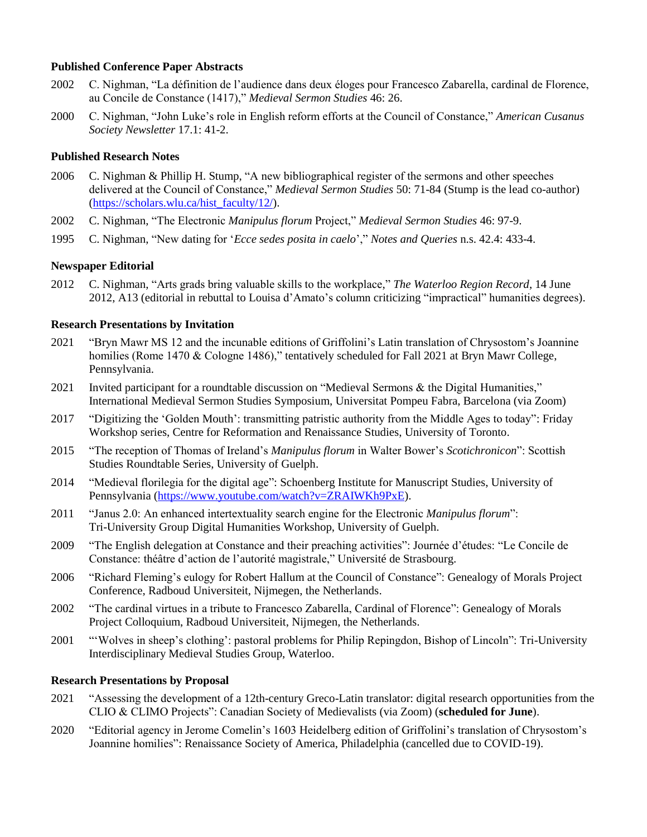### **Published Conference Paper Abstracts**

- 2002 C. Nighman, "La définition de l'audience dans deux éloges pour Francesco Zabarella, cardinal de Florence, au Concile de Constance (1417)," *Medieval Sermon Studies* 46: 26.
- 2000 C. Nighman, "John Luke's role in English reform efforts at the Council of Constance," *American Cusanus Society Newsletter* 17.1: 41-2.

## **Published Research Notes**

- 2006 C. Nighman & Phillip H. Stump, "A new bibliographical register of the sermons and other speeches delivered at the Council of Constance," *Medieval Sermon Studies* 50: 71-84 (Stump is the lead co-author) [\(https://scholars.wlu.ca/hist\\_faculty/12/\)](https://scholars.wlu.ca/hist_faculty/12/).
- 2002 C. Nighman, "The Electronic *Manipulus florum* Project," *Medieval Sermon Studies* 46: 97-9.
- 1995 C. Nighman, "New dating for '*Ecce sedes posita in caelo*'," *Notes and Queries* n.s. 42.4: 433-4.

#### **Newspaper Editorial**

2012 C. Nighman, "Arts grads bring valuable skills to the workplace," *The Waterloo Region Record*, 14 June 2012, A13 (editorial in rebuttal to Louisa d'Amato's column criticizing "impractical" humanities degrees).

#### **Research Presentations by Invitation**

- 2021 "Bryn Mawr MS 12 and the incunable editions of Griffolini's Latin translation of Chrysostom's Joannine homilies (Rome 1470 & Cologne 1486)," tentatively scheduled for Fall 2021 at Bryn Mawr College, Pennsylvania.
- 2021 Invited participant for a roundtable discussion on "Medieval Sermons & the Digital Humanities," International Medieval Sermon Studies Symposium, Universitat Pompeu Fabra, Barcelona (via Zoom)
- 2017 "Digitizing the 'Golden Mouth': transmitting patristic authority from the Middle Ages to today": Friday Workshop series, Centre for Reformation and Renaissance Studies, University of Toronto.
- 2015 "The reception of Thomas of Ireland's *Manipulus florum* in Walter Bower's *Scotichronicon*": Scottish Studies Roundtable Series, University of Guelph.
- 2014 "Medieval florilegia for the digital age": Schoenberg Institute for Manuscript Studies, University of Pennsylvania [\(https://www.youtube.com/watch?v=ZRAIWKh9PxE\)](https://www.youtube.com/watch?v=ZRAIWKh9PxE).
- 2011 "Janus 2.0: An enhanced intertextuality search engine for the Electronic *Manipulus florum*": Tri-University Group Digital Humanities Workshop, University of Guelph.
- 2009 "The English delegation at Constance and their preaching activities": Journée d'études: "Le Concile de Constance: théâtre d'action de l'autorité magistrale," Université de Strasbourg.
- 2006 "Richard Fleming's eulogy for Robert Hallum at the Council of Constance": Genealogy of Morals Project Conference, Radboud Universiteit, Nijmegen, the Netherlands.
- 2002 "The cardinal virtues in a tribute to Francesco Zabarella, Cardinal of Florence": Genealogy of Morals Project Colloquium, Radboud Universiteit, Nijmegen, the Netherlands.
- 2001 "'Wolves in sheep's clothing': pastoral problems for Philip Repingdon, Bishop of Lincoln": Tri-University Interdisciplinary Medieval Studies Group, Waterloo.

#### **Research Presentations by Proposal**

- 2021 "Assessing the development of a 12th-century Greco-Latin translator: digital research opportunities from the CLIO & CLIMO Projects": Canadian Society of Medievalists (via Zoom) (**scheduled for June**).
- 2020 "Editorial agency in Jerome Comelin's 1603 Heidelberg edition of Griffolini's translation of Chrysostom's Joannine homilies": Renaissance Society of America, Philadelphia (cancelled due to COVID-19).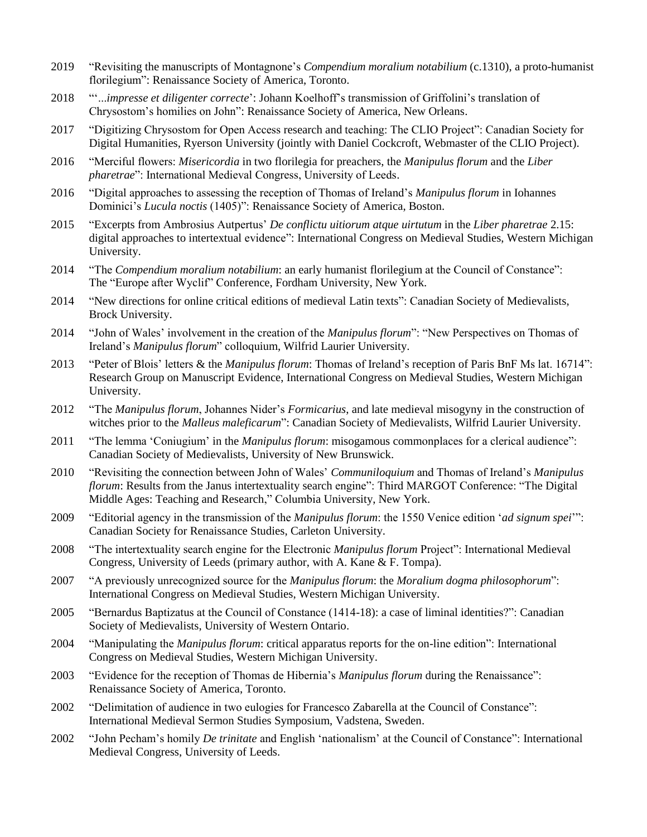- 2019 "Revisiting the manuscripts of Montagnone's *Compendium moralium notabilium* (c.1310), a proto-humanist florilegium": Renaissance Society of America, Toronto.
- 2018 "'...*impresse et diligenter correcte*': Johann Koelhoff's transmission of Griffolini's translation of Chrysostom's homilies on John": Renaissance Society of America, New Orleans.
- 2017 "Digitizing Chrysostom for Open Access research and teaching: The CLIO Project": Canadian Society for Digital Humanities, Ryerson University (jointly with Daniel Cockcroft, Webmaster of the CLIO Project).
- 2016 "Merciful flowers: *Misericordia* in two florilegia for preachers, the *Manipulus florum* and the *Liber pharetrae*": International Medieval Congress, University of Leeds.
- 2016 "Digital approaches to assessing the reception of Thomas of Ireland's *Manipulus florum* in Iohannes Dominici's *Lucula noctis* (1405)": Renaissance Society of America, Boston.
- 2015 "Excerpts from Ambrosius Autpertus' *De conflictu uitiorum atque uirtutum* in the *Liber pharetrae* 2.15: digital approaches to intertextual evidence": International Congress on Medieval Studies, Western Michigan University.
- 2014 "The *Compendium moralium notabilium*: an early humanist florilegium at the Council of Constance": The "Europe after Wyclif" Conference, Fordham University, New York.
- 2014 "New directions for online critical editions of medieval Latin texts": Canadian Society of Medievalists, Brock University.
- 2014 "John of Wales' involvement in the creation of the *Manipulus florum*": "New Perspectives on Thomas of Ireland's *Manipulus florum*" colloquium, Wilfrid Laurier University.
- 2013 "Peter of Blois' letters & the *Manipulus florum*: Thomas of Ireland's reception of Paris BnF Ms lat. 16714": Research Group on Manuscript Evidence, International Congress on Medieval Studies, Western Michigan University.
- 2012 "The *Manipulus florum*, Johannes Nider's *Formicarius*, and late medieval misogyny in the construction of witches prior to the *Malleus maleficarum*": Canadian Society of Medievalists, Wilfrid Laurier University.
- 2011 "The lemma 'Coniugium' in the *Manipulus florum*: misogamous commonplaces for a clerical audience": Canadian Society of Medievalists, University of New Brunswick.
- 2010 "Revisiting the connection between John of Wales' *Communiloquium* and Thomas of Ireland's *Manipulus florum*: Results from the Janus intertextuality search engine": Third MARGOT Conference: "The Digital Middle Ages: Teaching and Research," Columbia University, New York.
- 2009 "Editorial agency in the transmission of the *Manipulus florum*: the 1550 Venice edition '*ad signum spei*'": Canadian Society for Renaissance Studies, Carleton University.
- 2008 "The intertextuality search engine for the Electronic *Manipulus florum* Project": International Medieval Congress, University of Leeds (primary author, with A. Kane & F. Tompa).
- 2007 "A previously unrecognized source for the *Manipulus florum*: the *Moralium dogma philosophorum*": International Congress on Medieval Studies, Western Michigan University.
- 2005 "Bernardus Baptizatus at the Council of Constance (1414-18): a case of liminal identities?": Canadian Society of Medievalists, University of Western Ontario.
- 2004 "Manipulating the *Manipulus florum*: critical apparatus reports for the on-line edition": International Congress on Medieval Studies, Western Michigan University.
- 2003 "Evidence for the reception of Thomas de Hibernia's *Manipulus florum* during the Renaissance": Renaissance Society of America, Toronto.
- 2002 "Delimitation of audience in two eulogies for Francesco Zabarella at the Council of Constance": International Medieval Sermon Studies Symposium, Vadstena, Sweden.
- 2002 "John Pecham's homily *De trinitate* and English 'nationalism' at the Council of Constance": International Medieval Congress, University of Leeds.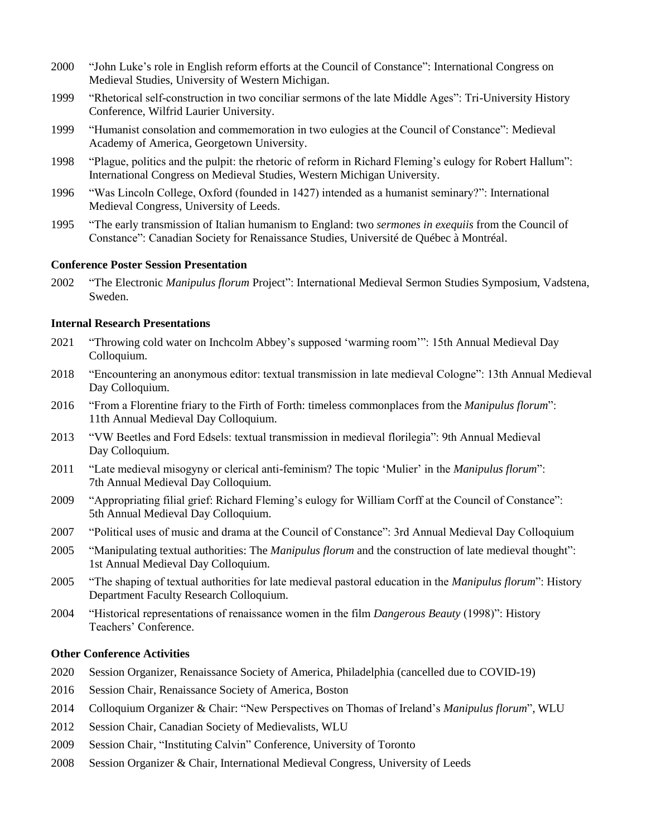- 2000 "John Luke's role in English reform efforts at the Council of Constance": International Congress on Medieval Studies, University of Western Michigan.
- 1999 "Rhetorical self-construction in two conciliar sermons of the late Middle Ages": Tri-University History Conference, Wilfrid Laurier University.
- 1999 "Humanist consolation and commemoration in two eulogies at the Council of Constance": Medieval Academy of America, Georgetown University.
- 1998 "Plague, politics and the pulpit: the rhetoric of reform in Richard Fleming's eulogy for Robert Hallum": International Congress on Medieval Studies, Western Michigan University.
- 1996 "Was Lincoln College, Oxford (founded in 1427) intended as a humanist seminary?": International Medieval Congress, University of Leeds.
- 1995 "The early transmission of Italian humanism to England: two *sermones in exequiis* from the Council of Constance": Canadian Society for Renaissance Studies, Université de Québec à Montréal.

#### **Conference Poster Session Presentation**

2002 "The Electronic *Manipulus florum* Project": International Medieval Sermon Studies Symposium, Vadstena, Sweden.

### **Internal Research Presentations**

- 2021 "Throwing cold water on Inchcolm Abbey's supposed 'warming room'": 15th Annual Medieval Day Colloquium.
- 2018 "Encountering an anonymous editor: textual transmission in late medieval Cologne": 13th Annual Medieval Day Colloquium.
- 2016 "From a Florentine friary to the Firth of Forth: timeless commonplaces from the *Manipulus florum*": 11th Annual Medieval Day Colloquium.
- 2013 "VW Beetles and Ford Edsels: textual transmission in medieval florilegia": 9th Annual Medieval Day Colloquium.
- 2011 "Late medieval misogyny or clerical anti-feminism? The topic 'Mulier' in the *Manipulus florum*": 7th Annual Medieval Day Colloquium.
- 2009 "Appropriating filial grief: Richard Fleming's eulogy for William Corff at the Council of Constance": 5th Annual Medieval Day Colloquium.
- 2007 "Political uses of music and drama at the Council of Constance": 3rd Annual Medieval Day Colloquium
- 2005 "Manipulating textual authorities: The *Manipulus florum* and the construction of late medieval thought": 1st Annual Medieval Day Colloquium.
- 2005 "The shaping of textual authorities for late medieval pastoral education in the *Manipulus florum*": History Department Faculty Research Colloquium.
- 2004 "Historical representations of renaissance women in the film *Dangerous Beauty* (1998)": History Teachers' Conference.

### **Other Conference Activities**

- 2020 Session Organizer, Renaissance Society of America, Philadelphia (cancelled due to COVID-19)
- 2016 Session Chair, Renaissance Society of America, Boston
- 2014 Colloquium Organizer & Chair: "New Perspectives on Thomas of Ireland's *Manipulus florum*", WLU
- 2012 Session Chair, Canadian Society of Medievalists, WLU
- 2009 Session Chair, "Instituting Calvin" Conference, University of Toronto
- 2008 Session Organizer & Chair, International Medieval Congress, University of Leeds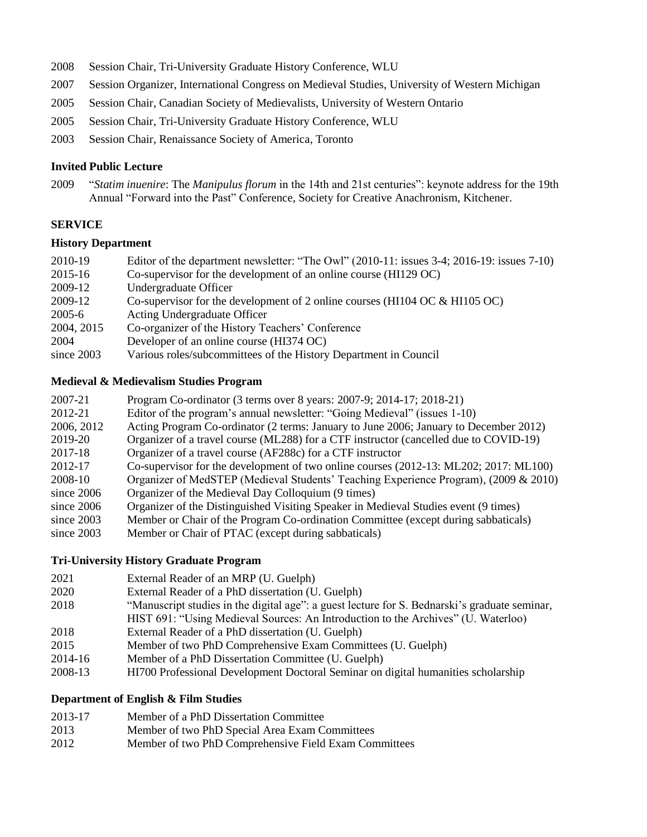- 2008 Session Chair, Tri-University Graduate History Conference, WLU
- 2007 Session Organizer, International Congress on Medieval Studies, University of Western Michigan
- 2005 Session Chair, Canadian Society of Medievalists, University of Western Ontario
- 2005 Session Chair, Tri-University Graduate History Conference, WLU
- 2003 Session Chair, Renaissance Society of America, Toronto

### **Invited Public Lecture**

2009 "*Statim inuenire*: The *Manipulus florum* in the 14th and 21st centuries": keynote address for the 19th Annual "Forward into the Past" Conference, Society for Creative Anachronism, Kitchener.

## **SERVICE**

# **History Department**

- 2010-19 Editor of the department newsletter: "The Owl" (2010-11: issues 3-4; 2016-19: issues 7-10) 2015-16 Co-supervisor for the development of an online course (HI129 OC) 2009-12 Undergraduate Officer 2009-12 Co-supervisor for the development of 2 online courses (HI104 OC & HI105 OC) 2005-6 Acting Undergraduate Officer 2004, 2015 Co-organizer of the History Teachers' Conference 2004 Developer of an online course (HI374 OC)
- since 2003 Various roles/subcommittees of the History Department in Council

#### **Medieval & Medievalism Studies Program**

- 2007-21 Program Co-ordinator (3 terms over 8 years: 2007-9; 2014-17; 2018-21)
- 2012-21 Editor of the program's annual newsletter: "Going Medieval" (issues 1-10)
- 2006, 2012 Acting Program Co-ordinator (2 terms: January to June 2006; January to December 2012)
- 2019-20 Organizer of a travel course (ML288) for a CTF instructor (cancelled due to COVID-19)
- 2017-18 Organizer of a travel course (AF288c) for a CTF instructor
- 2012-17 Co-supervisor for the development of two online courses (2012-13: ML202; 2017: ML100)
- 2008-10 Organizer of MedSTEP (Medieval Students' Teaching Experience Program), (2009 & 2010)
- since 2006 Organizer of the Medieval Day Colloquium (9 times)
- since 2006 Organizer of the Distinguished Visiting Speaker in Medieval Studies event (9 times)
- since 2003 Member or Chair of the Program Co-ordination Committee (except during sabbaticals)
- since 2003 Member or Chair of PTAC (except during sabbaticals)

## **Tri-University History Graduate Program**

- 2021 External Reader of an MRP (U. Guelph)
- 2020 External Reader of a PhD dissertation (U. Guelph)
- 2018 "Manuscript studies in the digital age": a guest lecture for S. Bednarski's graduate seminar,
- HIST 691: "Using Medieval Sources: An Introduction to the Archives" (U. Waterloo)
- 2018 External Reader of a PhD dissertation (U. Guelph)
- 2015 Member of two PhD Comprehensive Exam Committees (U. Guelph)
- 2014-16 Member of a PhD Dissertation Committee (U. Guelph)
- 2008-13 HI700 Professional Development Doctoral Seminar on digital humanities scholarship

# **Department of English & Film Studies**

- 2013-17 Member of a PhD Dissertation Committee
- 2013 Member of two PhD Special Area Exam Committees
- 2012 Member of two PhD Comprehensive Field Exam Committees